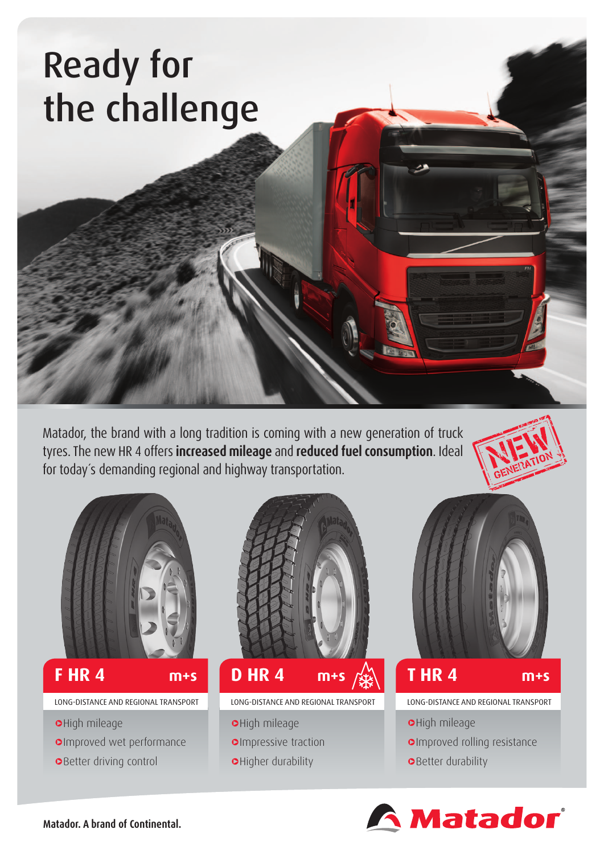# Ready for the challenge

Matador, the brand with a long tradition is coming with a new generation of truck tyres. The new HR 4 offers **increased mileage** and **reduced fuel consumption**. Ideal for today´s demanding regional and highway transportation.





### **F HR 4**

LONG-DISTANCE AND REGIONAL TRANSPORT

- **o**High mileage
- **OImproved wet performance**
- **o**Better driving control



### **d d d d d d d d d m+s**  $\frac{1}{2}$  **m+s m+s**

LONG-DISTANCE AND REGIONAL TRANSPORT

- **o**High mileage
- **oImpressive traction**
- **O**Higher durability



## **T HR 4**

LONG-DISTANCE AND REGIONAL TRANSPORT

- **o**High mileage
- **OImproved rolling resistance**
- **OBetter durability**



**Matador. A brand of Continental.**